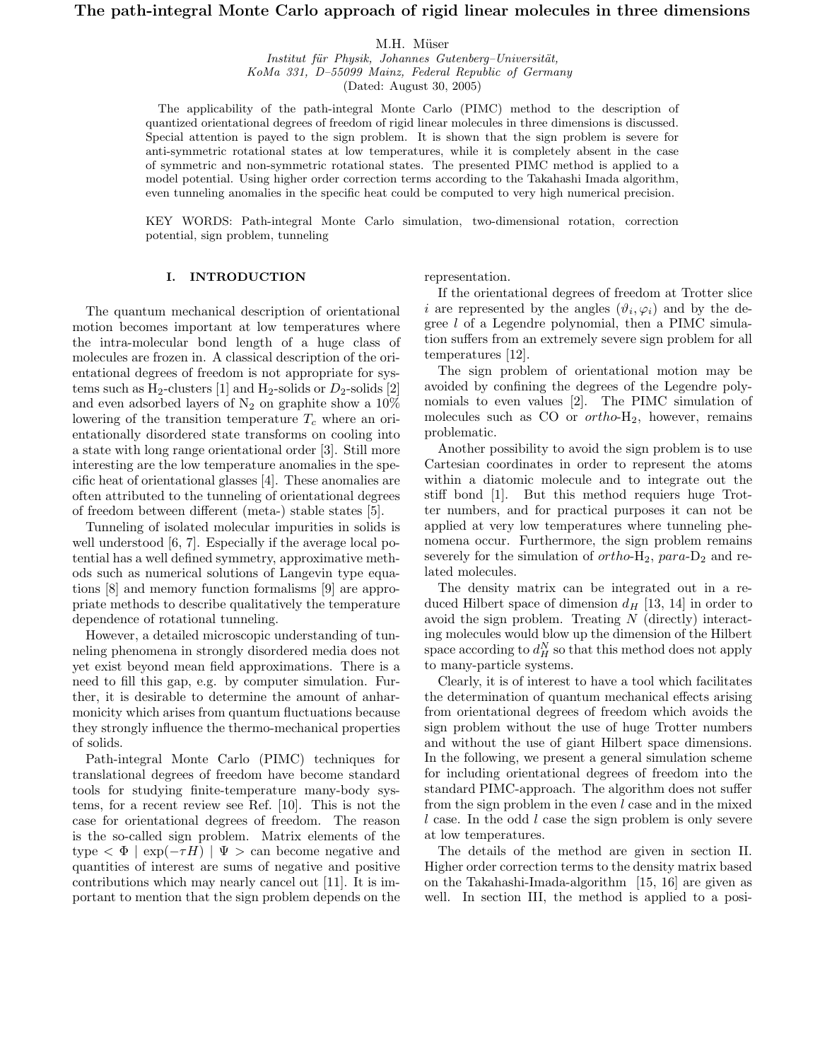# The path-integral Monte Carlo approach of rigid linear molecules in three dimensions

### M.H. Müser

Institut für Physik, Johannes Gutenberg-Universität, KoMa 331, D–55099 Mainz, Federal Republic of Germany (Dated: August 30, 2005)

The applicability of the path-integral Monte Carlo (PIMC) method to the description of quantized orientational degrees of freedom of rigid linear molecules in three dimensions is discussed. Special attention is payed to the sign problem. It is shown that the sign problem is severe for anti-symmetric rotational states at low temperatures, while it is completely absent in the case of symmetric and non-symmetric rotational states. The presented PIMC method is applied to a model potential. Using higher order correction terms according to the Takahashi Imada algorithm, even tunneling anomalies in the specific heat could be computed to very high numerical precision.

KEY WORDS: Path-integral Monte Carlo simulation, two-dimensional rotation, correction potential, sign problem, tunneling

## I. INTRODUCTION

The quantum mechanical description of orientational motion becomes important at low temperatures where the intra-molecular bond length of a huge class of molecules are frozen in. A classical description of the orientational degrees of freedom is not appropriate for systems such as  $H_2$ -clusters [1] and  $H_2$ -solids or  $D_2$ -solids [2] and even adsorbed layers of  $N_2$  on graphite show a  $10\%$ lowering of the transition temperature  $T_c$  where an orientationally disordered state transforms on cooling into a state with long range orientational order [3]. Still more interesting are the low temperature anomalies in the specific heat of orientational glasses [4]. These anomalies are often attributed to the tunneling of orientational degrees of freedom between different (meta-) stable states [5].

Tunneling of isolated molecular impurities in solids is well understood [6, 7]. Especially if the average local potential has a well defined symmetry, approximative methods such as numerical solutions of Langevin type equations [8] and memory function formalisms [9] are appropriate methods to describe qualitatively the temperature dependence of rotational tunneling.

However, a detailed microscopic understanding of tunneling phenomena in strongly disordered media does not yet exist beyond mean field approximations. There is a need to fill this gap, e.g. by computer simulation. Further, it is desirable to determine the amount of anharmonicity which arises from quantum fluctuations because they strongly influence the thermo-mechanical properties of solids.

Path-integral Monte Carlo (PIMC) techniques for translational degrees of freedom have become standard tools for studying finite-temperature many-body systems, for a recent review see Ref. [10]. This is not the case for orientational degrees of freedom. The reason is the so-called sign problem. Matrix elements of the type  $\langle \Phi | \exp(-\tau H) | \Psi \rangle$  can become negative and quantities of interest are sums of negative and positive contributions which may nearly cancel out [11]. It is important to mention that the sign problem depends on the representation.

If the orientational degrees of freedom at Trotter slice i are represented by the angles  $(\vartheta_i, \varphi_i)$  and by the degree l of a Legendre polynomial, then a PIMC simulation suffers from an extremely severe sign problem for all temperatures [12].

The sign problem of orientational motion may be avoided by confining the degrees of the Legendre polynomials to even values [2]. The PIMC simulation of molecules such as  $CO$  or  $ortho-H_2$ , however, remains problematic.

Another possibility to avoid the sign problem is to use Cartesian coordinates in order to represent the atoms within a diatomic molecule and to integrate out the stiff bond [1]. But this method requiers huge Trotter numbers, and for practical purposes it can not be applied at very low temperatures where tunneling phenomena occur. Furthermore, the sign problem remains severely for the simulation of  $ortho-H_2$ ,  $para-D_2$  and related molecules.

The density matrix can be integrated out in a reduced Hilbert space of dimension  $d_H$  [13, 14] in order to avoid the sign problem. Treating N (directly) interacting molecules would blow up the dimension of the Hilbert space according to  $d_H^N$  so that this method does not apply to many-particle systems.

Clearly, it is of interest to have a tool which facilitates the determination of quantum mechanical effects arising from orientational degrees of freedom which avoids the sign problem without the use of huge Trotter numbers and without the use of giant Hilbert space dimensions. In the following, we present a general simulation scheme for including orientational degrees of freedom into the standard PIMC-approach. The algorithm does not suffer from the sign problem in the even  $l$  case and in the mixed l case. In the odd l case the sign problem is only severe at low temperatures.

The details of the method are given in section II. Higher order correction terms to the density matrix based on the Takahashi-Imada-algorithm [15, 16] are given as well. In section III, the method is applied to a posi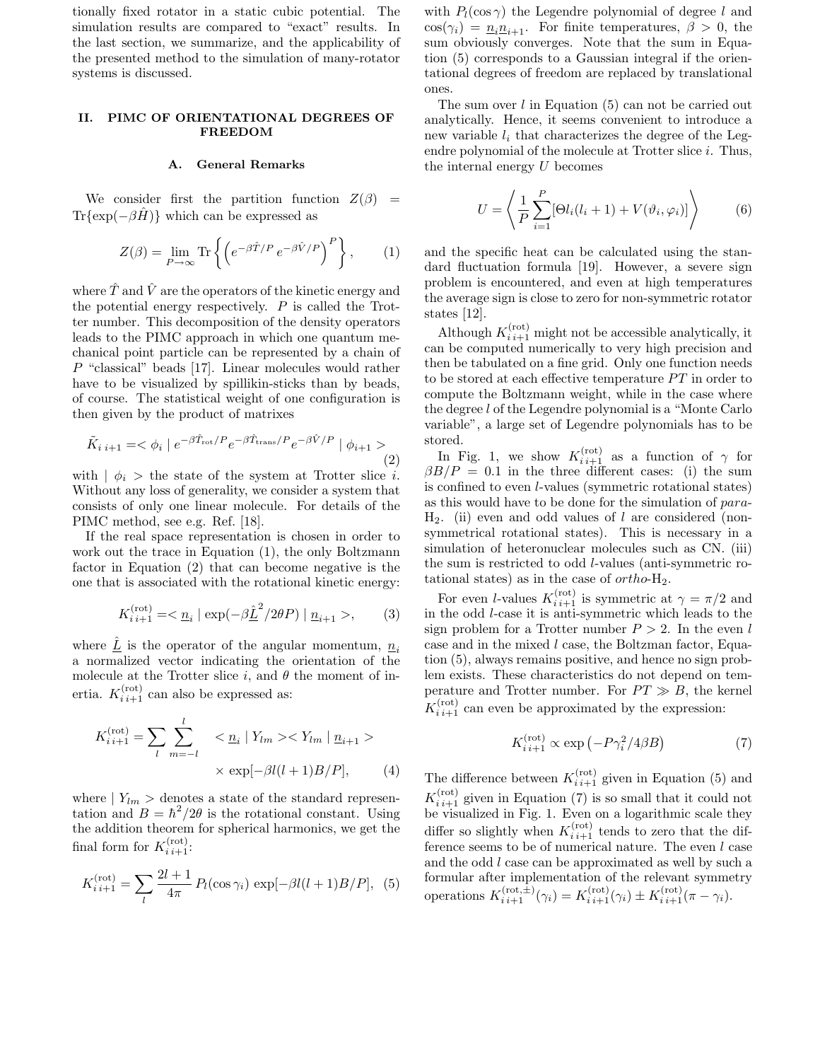tionally fixed rotator in a static cubic potential. The simulation results are compared to "exact" results. In the last section, we summarize, and the applicability of the presented method to the simulation of many-rotator systems is discussed.

## II. PIMC OF ORIENTATIONAL DEGREES OF FREEDOM

#### A. General Remarks

We consider first the partition function  $Z(\beta)$  =  $Tr{\exp(-\beta \hat{H})}$  which can be expressed as

$$
Z(\beta) = \lim_{P \to \infty} \text{Tr} \left\{ \left( e^{-\beta \hat{T}/P} e^{-\beta \hat{V}/P} \right)^P \right\},\qquad(1)
$$

where  $\hat{T}$  and  $\hat{V}$  are the operators of the kinetic energy and the potential energy respectively.  $P$  is called the Trotter number. This decomposition of the density operators leads to the PIMC approach in which one quantum mechanical point particle can be represented by a chain of P "classical" beads [17]. Linear molecules would rather have to be visualized by spillikin-sticks than by beads, of course. The statistical weight of one configuration is then given by the product of matrixes

$$
\tilde{K}_{i\ i+1} = \langle \phi_i \mid e^{-\beta \hat{T}_{\text{rot}}/P} e^{-\beta \hat{T}_{\text{trans}}/P} e^{-\beta \hat{V}/P} \mid \phi_{i+1} \rangle \tag{2}
$$

with  $\phi_i$  > the state of the system at Trotter slice *i*. Without any loss of generality, we consider a system that consists of only one linear molecule. For details of the PIMC method, see e.g. Ref. [18].

If the real space representation is chosen in order to work out the trace in Equation (1), the only Boltzmann factor in Equation (2) that can become negative is the one that is associated with the rotational kinetic energy:

$$
K_{i\,i+1}^{(\text{rot})} = \langle \underline{n}_i | \exp(-\beta \underline{\hat{L}}^2 / 2\theta P) | \underline{n}_{i+1} \rangle, \qquad (3)
$$

where  $\underline{L}$  is the operator of the angular momentum,  $\underline{n}_i$ a normalized vector indicating the orientation of the molecule at the Trotter slice i, and  $\theta$  the moment of inertia.  $K_{i,i+1}^{(\text{rot})}$  can also be expressed as:

$$
K_{i\,i+1}^{(\text{rot})} = \sum_{l} \sum_{m=-l}^{l} \langle \underline{n}_i | Y_{lm} \rangle \langle Y_{lm} | \underline{n}_{i+1} \rangle
$$
  
 
$$
\times \exp[-\beta l(l+1)B/P], \qquad (4)
$$

where  $| Y_{lm} \rangle$  denotes a state of the standard representation and  $B = \hbar^2/2\theta$  is the rotational constant. Using the addition theorem for spherical harmonics, we get the final form for  $K_{i,i+1}^{(\text{rot})}$ :

$$
K_{i\,i+1}^{(\text{rot})} = \sum_{l} \frac{2l+1}{4\pi} P_l(\cos \gamma_i) \, \exp[-\beta l(l+1)B/P], \tag{5}
$$

with  $P_l(\cos \gamma)$  the Legendre polynomial of degree l and  $\cos(\gamma_i) = \underline{n}_i \underline{n}_{i+1}$ . For finite temperatures,  $\beta > 0$ , the sum obviously converges. Note that the sum in Equation (5) corresponds to a Gaussian integral if the orientational degrees of freedom are replaced by translational ones.

The sum over l in Equation (5) can not be carried out analytically. Hence, it seems convenient to introduce a new variable  $l_i$  that characterizes the degree of the Legendre polynomial of the molecule at Trotter slice  $i$ . Thus, the internal energy U becomes

$$
U = \left\langle \frac{1}{P} \sum_{i=1}^{P} [\Theta l_i (l_i + 1) + V(\vartheta_i, \varphi_i)] \right\rangle
$$
 (6)

and the specific heat can be calculated using the standard fluctuation formula [19]. However, a severe sign problem is encountered, and even at high temperatures the average sign is close to zero for non-symmetric rotator states [12].

Although  $K_{i,i+1}^{(\text{rot})}$  might not be accessible analytically, it can be computed numerically to very high precision and then be tabulated on a fine grid. Only one function needs to be stored at each effective temperature PT in order to compute the Boltzmann weight, while in the case where the degree l of the Legendre polynomial is a "Monte Carlo variable", a large set of Legendre polynomials has to be stored.

In Fig. 1, we show  $K_{i,i+1}^{(rot)}$  as a function of  $\gamma$  for  $\beta B/P = 0.1$  in the three different cases: (i) the sum is confined to even l-values (symmetric rotational states) as this would have to be done for the simulation of para- $H_2$ . (ii) even and odd values of l are considered (nonsymmetrical rotational states). This is necessary in a simulation of heteronuclear molecules such as CN. (iii) the sum is restricted to odd l-values (anti-symmetric rotational states) as in the case of  $ortho-H<sub>2</sub>$ .

For even *l*-values  $K_{i,i+1}^{(rot)}$  is symmetric at  $\gamma = \pi/2$  and in the odd l-case it is anti-symmetric which leads to the sign problem for a Trotter number  $P > 2$ . In the even l case and in the mixed l case, the Boltzman factor, Equation (5), always remains positive, and hence no sign problem exists. These characteristics do not depend on temperature and Trotter number. For  $PT \gg B$ , the kernel  $K_{i,i+1}^{(\text{rot})}$  can even be approximated by the expression:

$$
K_{i\,i+1}^{(\text{rot})} \propto \exp\left(-P\gamma_i^2/4\beta B\right) \tag{7}
$$

The difference between  $K_{i,i+1}^{(\text{rot})}$  given in Equation (5) and  $K_{i,i+1}^{(\text{rot})}$  given in Equation (7) is so small that it could not be visualized in Fig. 1. Even on a logarithmic scale they differ so slightly when  $K_{i,i+1}^{(rot)}$  tends to zero that the difference seems to be of numerical nature. The even  $l$  case and the odd l case can be approximated as well by such a formular after implementation of the relevant symmetry operations  $K_{i,i+1}^{(\text{rot}, \hat{\pm})}(\gamma_i) = K_{i,i+1}^{(\text{rot})}(\gamma_i) \pm K_{i,i+1}^{(\text{rot})}(\pi - \gamma_i).$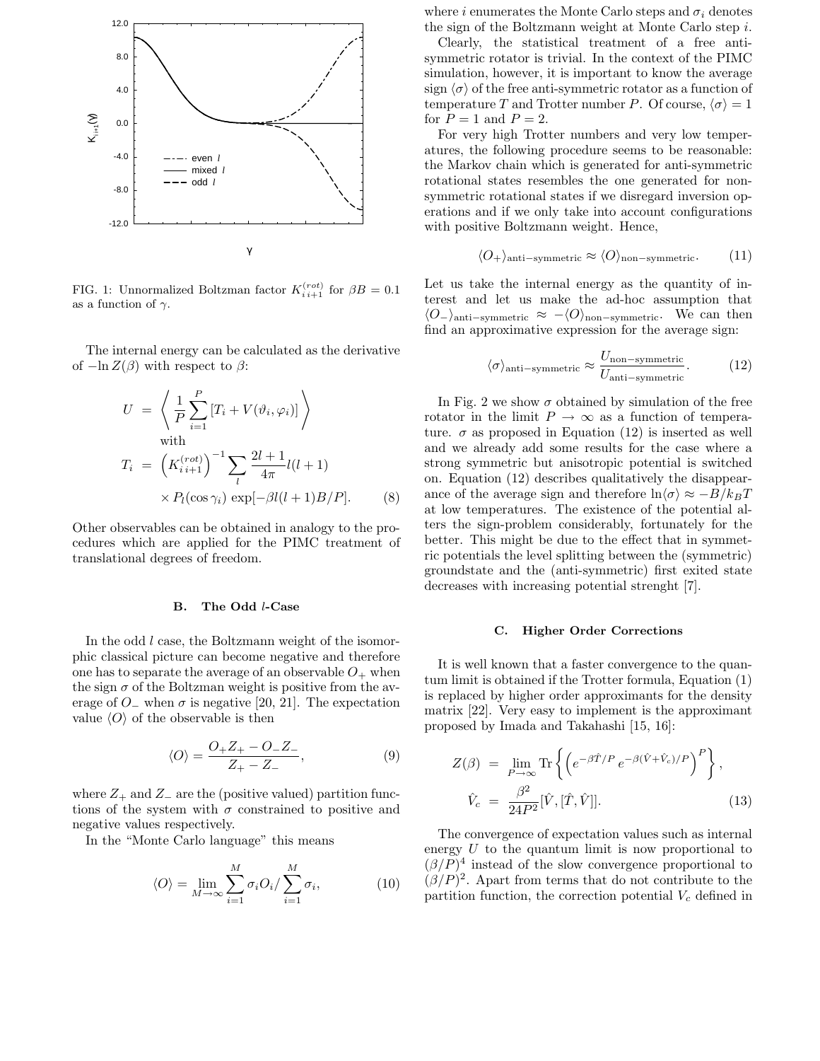

FIG. 1: Unnormalized Boltzman factor  $K_{i,i+1}^{(rot)}$  for  $\beta B = 0.1$ as a function of  $\gamma$ .

The internal energy can be calculated as the derivative of  $-\ln Z(\beta)$  with respect to  $\beta$ :

$$
U = \left\langle \frac{1}{P} \sum_{i=1}^{P} [T_i + V(\vartheta_i, \varphi_i)] \right\rangle
$$
  
with  

$$
T_i = \left( K_{i}^{(rot)} \right)^{-1} \sum_{l} \frac{2l+1}{4\pi} l(l+1)
$$

$$
\times P_l(\cos \gamma_i) \exp[-\beta l(l+1)B/P]. \tag{8}
$$

Other observables can be obtained in analogy to the procedures which are applied for the PIMC treatment of translational degrees of freedom.

#### B. The Odd l-Case

In the odd l case, the Boltzmann weight of the isomorphic classical picture can become negative and therefore one has to separate the average of an observable  $O_+$  when the sign  $\sigma$  of the Boltzman weight is positive from the average of  $O_-\$  when  $\sigma$  is negative [20, 21]. The expectation value  $\langle O \rangle$  of the observable is then

$$
\langle O \rangle = \frac{O_+ Z_+ - O_- Z_-}{Z_+ - Z_-},\tag{9}
$$

where  $Z_+$  and  $Z_-$  are the (positive valued) partition functions of the system with  $\sigma$  constrained to positive and negative values respectively.

In the "Monte Carlo language" this means

$$
\langle O \rangle = \lim_{M \to \infty} \sum_{i=1}^{M} \sigma_i O_i / \sum_{i=1}^{M} \sigma_i, \tag{10}
$$

where i enumerates the Monte Carlo steps and  $\sigma_i$  denotes the sign of the Boltzmann weight at Monte Carlo step i.

Clearly, the statistical treatment of a free antisymmetric rotator is trivial. In the context of the PIMC simulation, however, it is important to know the average sign  $\langle \sigma \rangle$  of the free anti-symmetric rotator as a function of temperature T and Trotter number P. Of course,  $\langle \sigma \rangle = 1$ for  $P = 1$  and  $P = 2$ .

For very high Trotter numbers and very low temperatures, the following procedure seems to be reasonable: the Markov chain which is generated for anti-symmetric rotational states resembles the one generated for nonsymmetric rotational states if we disregard inversion operations and if we only take into account configurations with positive Boltzmann weight. Hence,

$$
\langle O_{+} \rangle_{\text{anti-symmetric}} \approx \langle O \rangle_{\text{non-symmetric}}.\tag{11}
$$

Let us take the internal energy as the quantity of interest and let us make the ad-hoc assumption that  $\langle O_{-}\rangle$ anti–symmetric ≈  $-\langle O\rangle$ <sub>non–symmetric</sub>. We can then find an approximative expression for the average sign:

$$
\langle \sigma \rangle_{\text{anti-symmetric}} \approx \frac{U_{\text{non-symmetric}}}{U_{\text{anti-symmetric}}}.\tag{12}
$$

In Fig. 2 we show  $\sigma$  obtained by simulation of the free rotator in the limit  $P \to \infty$  as a function of temperature.  $\sigma$  as proposed in Equation (12) is inserted as well and we already add some results for the case where a strong symmetric but anisotropic potential is switched on. Equation (12) describes qualitatively the disappearance of the average sign and therefore  $\ln \langle \sigma \rangle \approx -B/k_BT$ at low temperatures. The existence of the potential alters the sign-problem considerably, fortunately for the better. This might be due to the effect that in symmetric potentials the level splitting between the (symmetric) groundstate and the (anti-symmetric) first exited state decreases with increasing potential strenght [7].

#### C. Higher Order Corrections

It is well known that a faster convergence to the quantum limit is obtained if the Trotter formula, Equation (1) is replaced by higher order approximants for the density matrix [22]. Very easy to implement is the approximant proposed by Imada and Takahashi [15, 16]:

$$
Z(\beta) = \lim_{P \to \infty} \text{Tr} \left\{ \left( e^{-\beta \hat{T}/P} e^{-\beta (\hat{V} + \hat{V}_c)/P} \right)^P \right\},\
$$

$$
\hat{V}_c = \frac{\beta^2}{24P^2} [\hat{V}, [\hat{T}, \hat{V}]].
$$
(13)

The convergence of expectation values such as internal energy  $U$  to the quantum limit is now proportional to  $(\beta/P)^4$  instead of the slow convergence proportional to  $(\beta/P)^2$ . Apart from terms that do not contribute to the partition function, the correction potential  $V_c$  defined in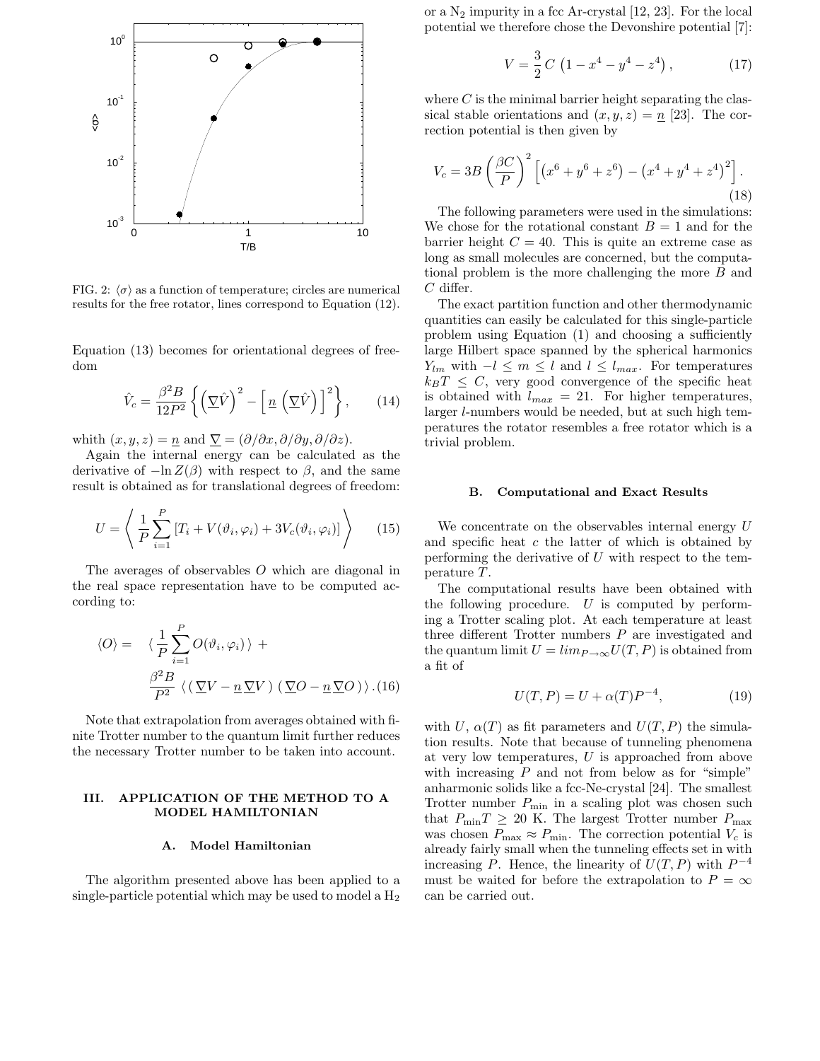

FIG. 2:  $\langle \sigma \rangle$  as a function of temperature; circles are numerical results for the free rotator, lines correspond to Equation (12).

Equation (13) becomes for orientational degrees of freedom

$$
\hat{V}_c = \frac{\beta^2 B}{12P^2} \left\{ \left( \nabla \hat{V} \right)^2 - \left[ \underline{n} \left( \nabla \hat{V} \right) \right]^2 \right\},\qquad(14)
$$

whith  $(x, y, z) = \underline{n}$  and  $\nabla = (\partial/\partial x, \partial/\partial y, \partial/\partial z)$ .

Again the internal energy can be calculated as the derivative of  $-\ln Z(\beta)$  with respect to  $\beta$ , and the same result is obtained as for translational degrees of freedom:

$$
U = \left\langle \frac{1}{P} \sum_{i=1}^{P} \left[ T_i + V(\vartheta_i, \varphi_i) + 3V_c(\vartheta_i, \varphi_i) \right] \right\rangle \tag{15}
$$

The averages of observables O which are diagonal in the real space representation have to be computed according to:

$$
\langle O \rangle = \langle \frac{1}{P} \sum_{i=1}^{P} O(\vartheta_i, \varphi_i) \rangle +
$$

$$
\frac{\beta^2 B}{P^2} \langle (\nabla V - n \nabla V) (\nabla O - n \nabla O) \rangle . (16)
$$

Note that extrapolation from averages obtained with finite Trotter number to the quantum limit further reduces the necessary Trotter number to be taken into account.

### III. APPLICATION OF THE METHOD TO A MODEL HAMILTONIAN

### A. Model Hamiltonian

The algorithm presented above has been applied to a single-particle potential which may be used to model a  $H_2$  or a  $N_2$  impurity in a fcc Ar-crystal [12, 23]. For the local potential we therefore chose the Devonshire potential [7]:

$$
V = \frac{3}{2}C\left(1 - x^4 - y^4 - z^4\right),\tag{17}
$$

where  $C$  is the minimal barrier height separating the classical stable orientations and  $(x, y, z) = n$  [23]. The correction potential is then given by

$$
V_c = 3B\left(\frac{\beta C}{P}\right)^2 \left[ \left(x^6 + y^6 + z^6\right) - \left(x^4 + y^4 + z^4\right)^2 \right].
$$
\n(18)

The following parameters were used in the simulations: We chose for the rotational constant  $B = 1$  and for the barrier height  $C = 40$ . This is quite an extreme case as long as small molecules are concerned, but the computational problem is the more challenging the more B and  $C$  differ.

The exact partition function and other thermodynamic quantities can easily be calculated for this single-particle problem using Equation (1) and choosing a sufficiently large Hilbert space spanned by the spherical harmonics  $Y_{lm}$  with  $-l \leq m \leq l$  and  $l \leq l_{max}$ . For temperatures  $k_BT \leq C$ , very good convergence of the specific heat is obtained with  $l_{max} = 21$ . For higher temperatures, larger l-numbers would be needed, but at such high temperatures the rotator resembles a free rotator which is a trivial problem.

## B. Computational and Exact Results

We concentrate on the observables internal energy U and specific heat  $c$  the latter of which is obtained by performing the derivative of  $U$  with respect to the temperature T.

The computational results have been obtained with the following procedure.  $U$  is computed by performing a Trotter scaling plot. At each temperature at least three different Trotter numbers  $P$  are investigated and the quantum limit  $U = \lim_{P \to \infty} U(T, P)$  is obtained from a fit of

$$
U(T, P) = U + \alpha(T)P^{-4},\tag{19}
$$

with U,  $\alpha(T)$  as fit parameters and  $U(T, P)$  the simulation results. Note that because of tunneling phenomena at very low temperatures, U is approached from above with increasing  $P$  and not from below as for "simple" anharmonic solids like a fcc-Ne-crystal [24]. The smallest Trotter number  $P_{\min}$  in a scaling plot was chosen such that  $P_{\min}T \geq 20$  K. The largest Trotter number  $P_{\max}$ was chosen  $P_{\text{max}} \approx P_{\text{min}}$ . The correction potential  $V_c$  is already fairly small when the tunneling effects set in with increasing  $\tilde{P}$ . Hence, the linearity of  $\tilde{U}(T,P)$  with  $P^{-4}$ must be waited for before the extrapolation to  $P = \infty$ can be carried out.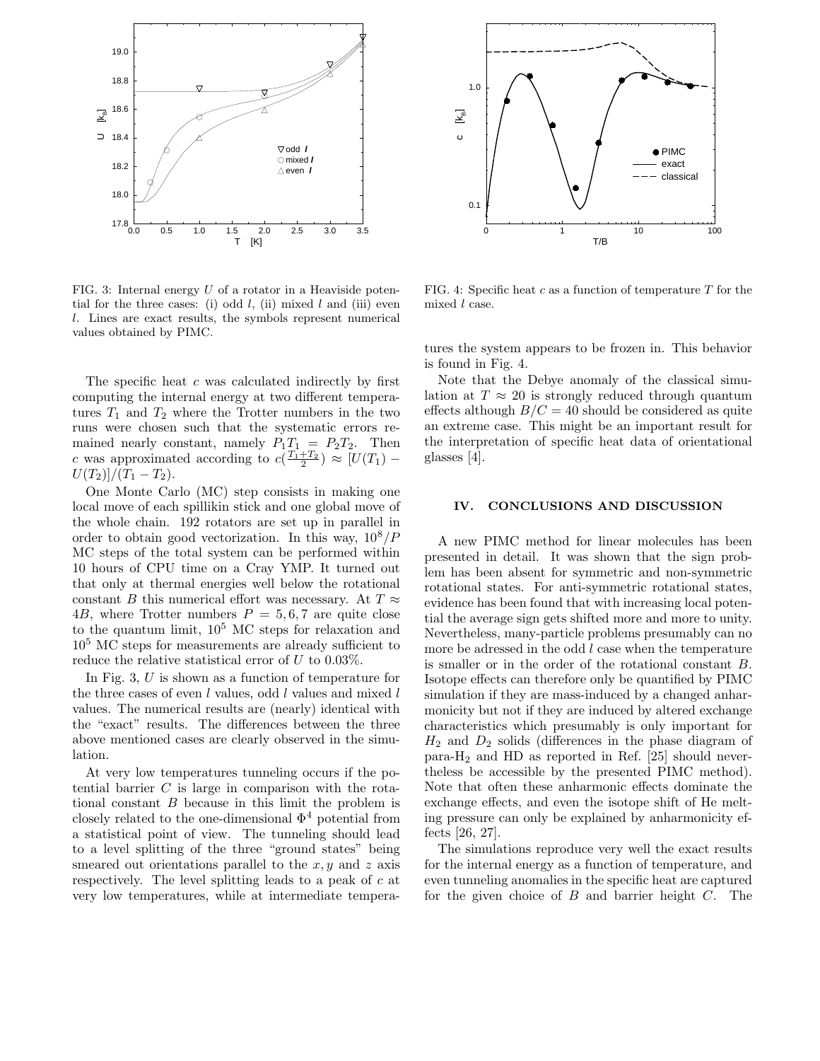

FIG. 3: Internal energy  $U$  of a rotator in a Heaviside potential for the three cases: (i) odd  $l$ , (ii) mixed  $l$  and (iii) even l. Lines are exact results, the symbols represent numerical values obtained by PIMC.

The specific heat  $c$  was calculated indirectly by first computing the internal energy at two different temperatures  $T_1$  and  $T_2$  where the Trotter numbers in the two runs were chosen such that the systematic errors remained nearly constant, namely  $P_1T_1 = P_2T_2$ . Then c was approximated according to  $c(\frac{T_1+T_2}{2}) \approx [U(T_1) U(T_2)/(T_1-T_2).$ 

One Monte Carlo (MC) step consists in making one local move of each spillikin stick and one global move of the whole chain. 192 rotators are set up in parallel in order to obtain good vectorization. In this way,  $10^8/P$ MC steps of the total system can be performed within 10 hours of CPU time on a Cray YMP. It turned out that only at thermal energies well below the rotational constant B this numerical effort was necessary. At  $T \approx$ 4B, where Trotter numbers  $P = 5, 6, 7$  are quite close to the quantum limit,  $10^5$  MC steps for relaxation and 10<sup>5</sup> MC steps for measurements are already sufficient to reduce the relative statistical error of  $U$  to 0.03%.

In Fig. 3, U is shown as a function of temperature for the three cases of even  $l$  values, odd  $l$  values and mixed  $l$ values. The numerical results are (nearly) identical with the "exact" results. The differences between the three above mentioned cases are clearly observed in the simulation.

At very low temperatures tunneling occurs if the potential barrier  $C$  is large in comparison with the rotational constant B because in this limit the problem is closely related to the one-dimensional  $\Phi^4$  potential from a statistical point of view. The tunneling should lead to a level splitting of the three "ground states" being smeared out orientations parallel to the  $x, y$  and z axis respectively. The level splitting leads to a peak of c at very low temperatures, while at intermediate tempera-



FIG. 4: Specific heat c as a function of temperature  $T$  for the mixed l case.

tures the system appears to be frozen in. This behavior is found in Fig. 4.

Note that the Debye anomaly of the classical simulation at  $T \approx 20$  is strongly reduced through quantum effects although  $B/C = 40$  should be considered as quite an extreme case. This might be an important result for the interpretation of specific heat data of orientational glasses [4].

## IV. CONCLUSIONS AND DISCUSSION

A new PIMC method for linear molecules has been presented in detail. It was shown that the sign problem has been absent for symmetric and non-symmetric rotational states. For anti-symmetric rotational states, evidence has been found that with increasing local potential the average sign gets shifted more and more to unity. Nevertheless, many-particle problems presumably can no more be adressed in the odd  $l$  case when the temperature is smaller or in the order of the rotational constant B. Isotope effects can therefore only be quantified by PIMC simulation if they are mass-induced by a changed anharmonicity but not if they are induced by altered exchange characteristics which presumably is only important for  $H_2$  and  $D_2$  solids (differences in the phase diagram of para-H<sup>2</sup> and HD as reported in Ref. [25] should nevertheless be accessible by the presented PIMC method). Note that often these anharmonic effects dominate the exchange effects, and even the isotope shift of He melting pressure can only be explained by anharmonicity effects [26, 27].

The simulations reproduce very well the exact results for the internal energy as a function of temperature, and even tunneling anomalies in the specific heat are captured for the given choice of  $B$  and barrier height  $C$ . The